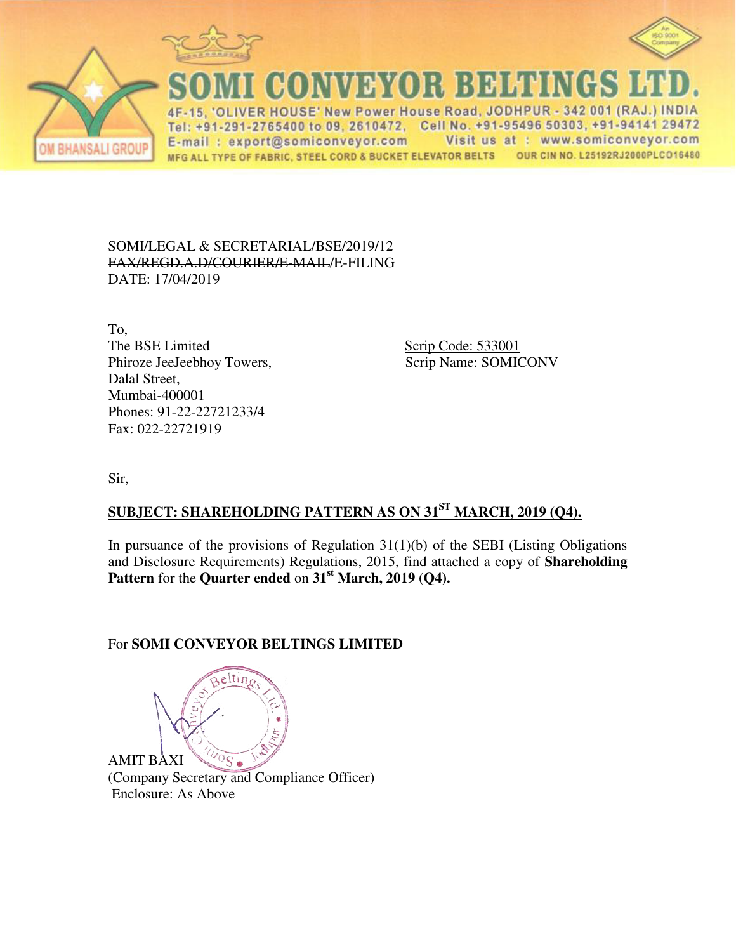





CONVEYOR BELTINGS

VER HOUSE' New Power House Road, JODHPUR - 342 001 (RAJ.) INDIA  $\Delta$ F Tel: +91-291-2765400 to 09, 2610472, Cell No. +91-95496 50303, +91-94141 29472 E-mail: export@somiconveyor.com Visit us at : www.somiconveyor.com OUR CIN NO. L25192RJ2000PLCO16480 MFG ALL TYPE OF FABRIC, STEEL CORD & BUCKET ELEVATOR BELTS

SOMI/LEGAL & SECRETARIAL/BSE/2019/12 FAX/REGD.A.D/COURIER/E-MAIL/E-FILING DATE: 17/04/2019

To, The BSE Limited Scrip Code: 533001 Phiroze JeeJeebhoy Towers, Scrip Name: SOMICONV Dalal Street, Mumbai-400001 Phones: 91-22-22721233/4 Fax: 022-22721919

Sir,

## **SUBJECT: SHAREHOLDING PATTERN AS ON 31ST MARCH, 2019 (Q4).**

In pursuance of the provisions of Regulation  $31(1)(b)$  of the SEBI (Listing Obligations and Disclosure Requirements) Regulations, 2015, find attached a copy of **Shareholding Pattern** for the **Quarter ended** on **31st March, 2019 (Q4).**

## For **SOMI CONVEYOR BELTINGS LIMITED**

e Itir AMIT BAXI  $\circ$   $\circ$ 

(Company Secretary and Compliance Officer) Enclosure: As Above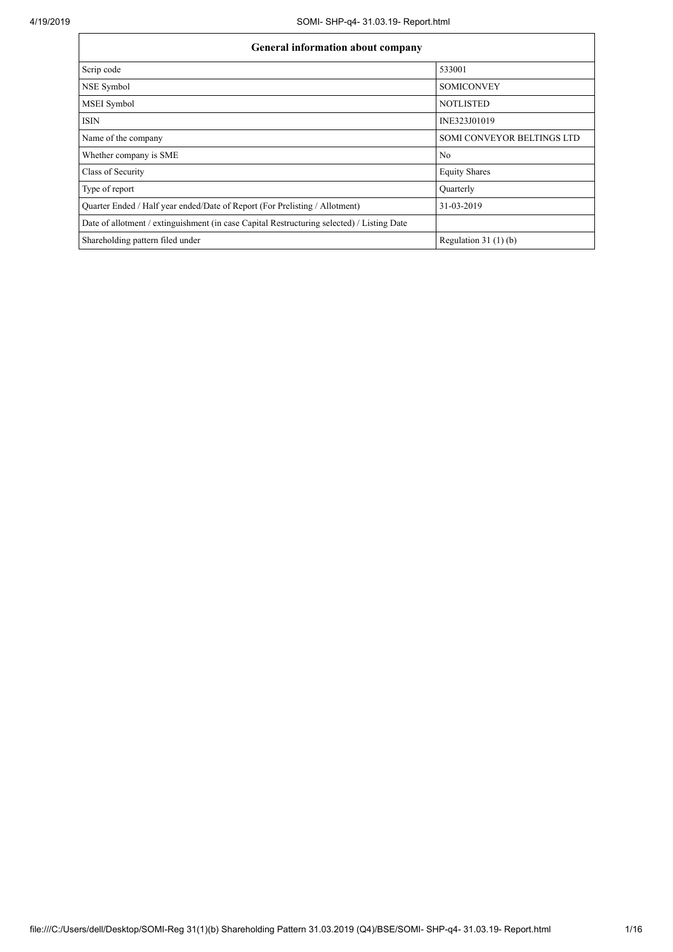| <b>General information about company</b>                                                   |                            |  |  |  |  |  |  |
|--------------------------------------------------------------------------------------------|----------------------------|--|--|--|--|--|--|
| Scrip code                                                                                 | 533001                     |  |  |  |  |  |  |
| NSE Symbol                                                                                 | <b>SOMICONVEY</b>          |  |  |  |  |  |  |
| <b>MSEI</b> Symbol                                                                         | <b>NOTLISTED</b>           |  |  |  |  |  |  |
| <b>ISIN</b>                                                                                | INE323J01019               |  |  |  |  |  |  |
| Name of the company                                                                        | SOMI CONVEYOR BELTINGS LTD |  |  |  |  |  |  |
| Whether company is SME                                                                     | No                         |  |  |  |  |  |  |
| Class of Security                                                                          | <b>Equity Shares</b>       |  |  |  |  |  |  |
| Type of report                                                                             | Quarterly                  |  |  |  |  |  |  |
| Quarter Ended / Half year ended/Date of Report (For Prelisting / Allotment)                | 31-03-2019                 |  |  |  |  |  |  |
| Date of allotment / extinguishment (in case Capital Restructuring selected) / Listing Date |                            |  |  |  |  |  |  |
| Shareholding pattern filed under                                                           | Regulation $31(1)(b)$      |  |  |  |  |  |  |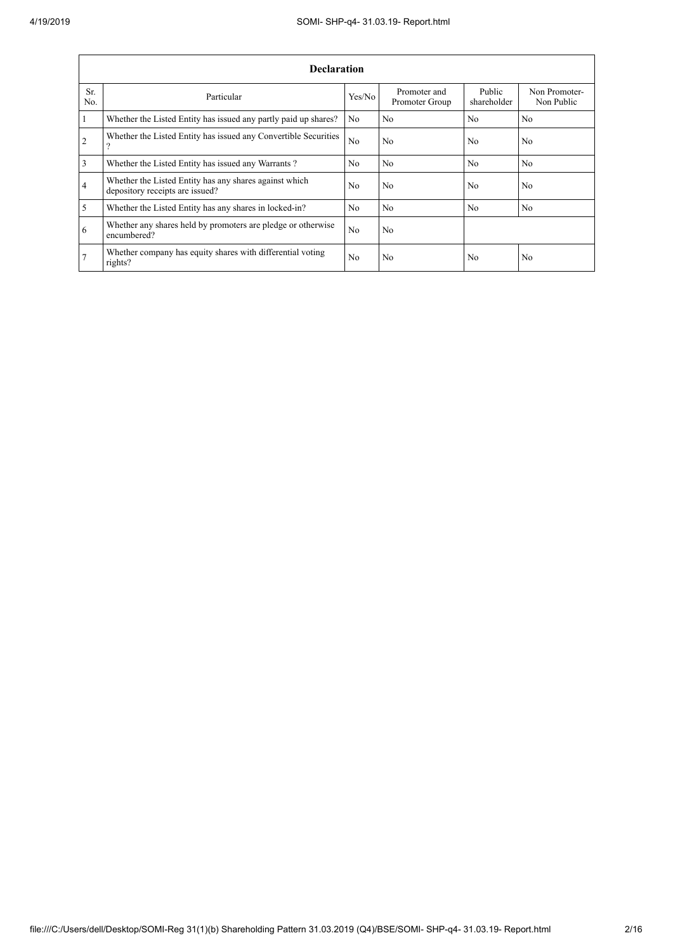|                | <b>Declaration</b>                                                                        |                |                                |                       |                             |  |  |  |  |  |
|----------------|-------------------------------------------------------------------------------------------|----------------|--------------------------------|-----------------------|-----------------------------|--|--|--|--|--|
| Sr.<br>No.     | Particular                                                                                | Yes/No         | Promoter and<br>Promoter Group | Public<br>shareholder | Non Promoter-<br>Non Public |  |  |  |  |  |
| $\mathbf{1}$   | Whether the Listed Entity has issued any partly paid up shares?                           | No             | No                             | N <sub>0</sub>        | No                          |  |  |  |  |  |
| $\overline{2}$ | Whether the Listed Entity has issued any Convertible Securities<br>റ                      | N <sub>o</sub> | No                             | N <sub>0</sub>        | No                          |  |  |  |  |  |
| $\overline{3}$ | Whether the Listed Entity has issued any Warrants?                                        | No.            | N <sub>0</sub>                 | No                    | N <sub>o</sub>              |  |  |  |  |  |
| $\overline{4}$ | Whether the Listed Entity has any shares against which<br>depository receipts are issued? | N <sub>o</sub> | No                             | N <sub>0</sub>        | No                          |  |  |  |  |  |
| $\overline{5}$ | Whether the Listed Entity has any shares in locked-in?                                    | N <sub>o</sub> | No                             | N <sub>0</sub>        | N <sub>o</sub>              |  |  |  |  |  |
| 6              | Whether any shares held by promoters are pledge or otherwise<br>encumbered?               | N <sub>o</sub> | No                             |                       |                             |  |  |  |  |  |
| 7              | Whether company has equity shares with differential voting<br>rights?                     | N <sub>0</sub> | No                             | N <sub>0</sub>        | No                          |  |  |  |  |  |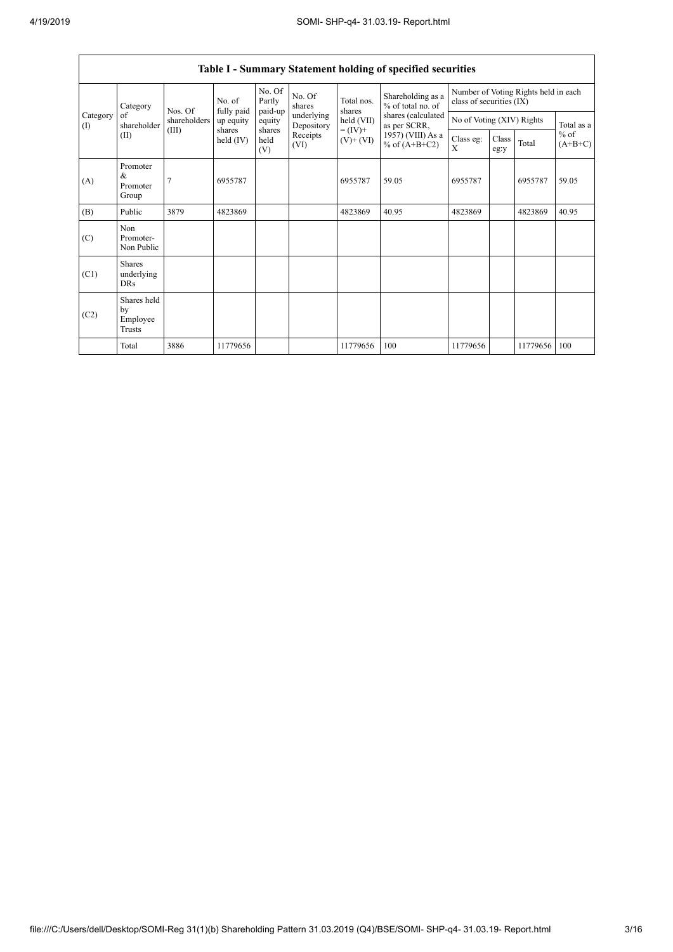$\mathbf{r}$ 

|                               | <b>Table I - Summary Statement holding of specified securities</b> |                         |                         |                       |                                                                  |                                                                    |                                        |                                                                  |               |          |                                   |  |
|-------------------------------|--------------------------------------------------------------------|-------------------------|-------------------------|-----------------------|------------------------------------------------------------------|--------------------------------------------------------------------|----------------------------------------|------------------------------------------------------------------|---------------|----------|-----------------------------------|--|
|                               | Category                                                           |                         | No. of                  | No. Of<br>Partly      | No. Of<br>shares<br>underlying<br>Depository<br>Receipts<br>(VI) | Total nos.<br>shares<br>held (VII)<br>$= (IV) +$<br>$(V)$ + $(VI)$ | Shareholding as a<br>% of total no. of | Number of Voting Rights held in each<br>class of securities (IX) |               |          |                                   |  |
| Category<br>$\textcircled{1}$ | of<br>shareholder                                                  | Nos. Of<br>shareholders | fully paid<br>up equity | paid-up<br>equity     |                                                                  |                                                                    | shares (calculated<br>as per SCRR,     | No of Voting (XIV) Rights                                        |               |          | Total as a<br>$%$ of<br>$(A+B+C)$ |  |
|                               | (II)                                                               | (III)                   | shares<br>held $(IV)$   | shares<br>held<br>(V) |                                                                  |                                                                    | 1957) (VIII) As a<br>% of $(A+B+C2)$   | Class eg:<br>X                                                   | Class<br>eg:y | Total    |                                   |  |
| (A)                           | Promoter<br>&<br>Promoter<br>Group                                 | 7                       | 6955787                 |                       |                                                                  | 6955787                                                            | 59.05                                  | 6955787                                                          |               | 6955787  | 59.05                             |  |
| (B)                           | Public                                                             | 3879                    | 4823869                 |                       |                                                                  | 4823869                                                            | 40.95                                  | 4823869                                                          |               | 4823869  | 40.95                             |  |
| (C)                           | Non<br>Promoter-<br>Non Public                                     |                         |                         |                       |                                                                  |                                                                    |                                        |                                                                  |               |          |                                   |  |
| (C1)                          | <b>Shares</b><br>underlying<br><b>DRs</b>                          |                         |                         |                       |                                                                  |                                                                    |                                        |                                                                  |               |          |                                   |  |
| (C2)                          | Shares held<br>by<br>Employee<br>Trusts                            |                         |                         |                       |                                                                  |                                                                    |                                        |                                                                  |               |          |                                   |  |
|                               | Total                                                              | 3886                    | 11779656                |                       |                                                                  | 11779656                                                           | 100                                    | 11779656                                                         |               | 11779656 | 100                               |  |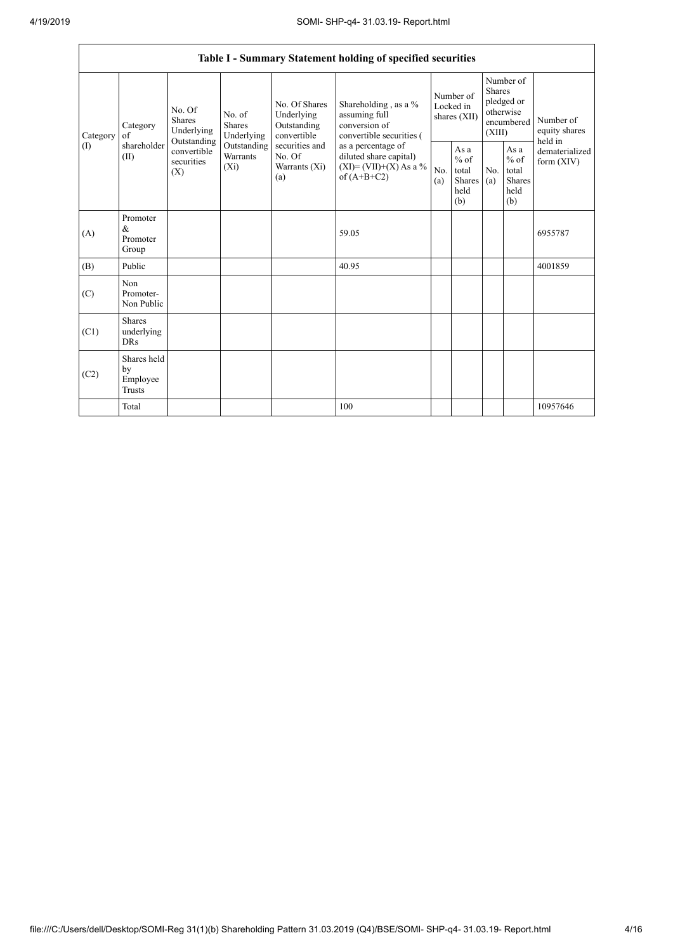|                 |                                           |                                                                                                     |                                       |                                                                                                               | Table I - Summary Statement holding of specified securities                                                                                                                    |                                        |                                                  |                                                                               |                                                         |                                       |
|-----------------|-------------------------------------------|-----------------------------------------------------------------------------------------------------|---------------------------------------|---------------------------------------------------------------------------------------------------------------|--------------------------------------------------------------------------------------------------------------------------------------------------------------------------------|----------------------------------------|--------------------------------------------------|-------------------------------------------------------------------------------|---------------------------------------------------------|---------------------------------------|
| Category<br>(I) | Category<br>of<br>shareholder<br>(II)     | No. Of<br><b>Shares</b><br>Underlying<br>Outstanding<br>convertible<br>securities<br>$(X_i)$<br>(X) | No. of<br><b>Shares</b><br>Underlying | No. Of Shares<br>Underlying<br>Outstanding<br>convertible<br>securities and<br>No. Of<br>Warrants (Xi)<br>(a) | Shareholding, as a %<br>assuming full<br>conversion of<br>convertible securities (<br>as a percentage of<br>diluted share capital)<br>$(XI)=(VII)+(X) As a %$<br>of $(A+B+C2)$ | Number of<br>Locked in<br>shares (XII) |                                                  | Number of<br><b>Shares</b><br>pledged or<br>otherwise<br>encumbered<br>(XIII) |                                                         | Number of<br>equity shares<br>held in |
|                 |                                           |                                                                                                     | Outstanding<br>Warrants               |                                                                                                               |                                                                                                                                                                                | No.<br>(a)                             | As a<br>$%$ of<br>total<br>Shares<br>held<br>(b) | No.<br>(a)                                                                    | As a<br>$%$ of<br>total<br><b>Shares</b><br>held<br>(b) | dematerialized<br>form $(XIV)$        |
| (A)             | Promoter<br>&<br>Promoter<br>Group        |                                                                                                     |                                       |                                                                                                               | 59.05                                                                                                                                                                          |                                        |                                                  |                                                                               |                                                         | 6955787                               |
| (B)             | Public                                    |                                                                                                     |                                       |                                                                                                               | 40.95                                                                                                                                                                          |                                        |                                                  |                                                                               |                                                         | 4001859                               |
| (C)             | Non<br>Promoter-<br>Non Public            |                                                                                                     |                                       |                                                                                                               |                                                                                                                                                                                |                                        |                                                  |                                                                               |                                                         |                                       |
| (C1)            | <b>Shares</b><br>underlying<br><b>DRs</b> |                                                                                                     |                                       |                                                                                                               |                                                                                                                                                                                |                                        |                                                  |                                                                               |                                                         |                                       |
| (C2)            | Shares held<br>by<br>Employee<br>Trusts   |                                                                                                     |                                       |                                                                                                               |                                                                                                                                                                                |                                        |                                                  |                                                                               |                                                         |                                       |
|                 | Total                                     |                                                                                                     |                                       |                                                                                                               | 100                                                                                                                                                                            |                                        |                                                  |                                                                               |                                                         | 10957646                              |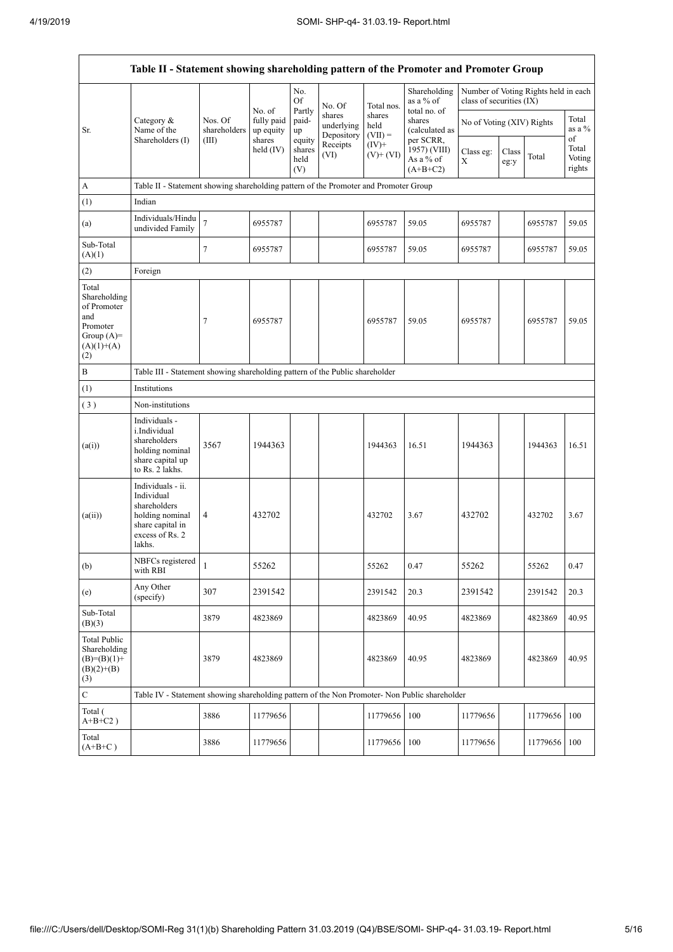$\overline{1}$ 

| Table II - Statement showing shareholding pattern of the Promoter and Promoter Group           |                                                                                                                     |                                                                                      |                                   |                                 |                                    |                             |                                                      |                           |               |                                      |                           |  |
|------------------------------------------------------------------------------------------------|---------------------------------------------------------------------------------------------------------------------|--------------------------------------------------------------------------------------|-----------------------------------|---------------------------------|------------------------------------|-----------------------------|------------------------------------------------------|---------------------------|---------------|--------------------------------------|---------------------------|--|
|                                                                                                |                                                                                                                     |                                                                                      |                                   | No.<br>Of                       | No. Of                             | Total nos.                  | Shareholding<br>as a $%$ of                          | class of securities (IX)  |               | Number of Voting Rights held in each |                           |  |
| Sr.                                                                                            | Category &<br>Name of the<br>Shareholders (I)                                                                       | Nos. Of<br>shareholders<br>(III)                                                     | No. of<br>fully paid<br>up equity | Partly<br>paid-<br>up           | shares<br>underlying<br>Depository | shares<br>held<br>$(VII) =$ | total no. of<br>shares<br>(calculated as             | No of Voting (XIV) Rights |               |                                      | Total<br>as a %<br>of     |  |
|                                                                                                |                                                                                                                     |                                                                                      | shares<br>held $(IV)$             | equity<br>shares<br>held<br>(V) | Receipts<br>(VI)                   | $(IV)+$<br>$(V)+(VI)$       | per SCRR,<br>1957) (VIII)<br>As a % of<br>$(A+B+C2)$ | Class eg:<br>X            | Class<br>eg:y | Total                                | Total<br>Voting<br>rights |  |
| A                                                                                              |                                                                                                                     | Table II - Statement showing shareholding pattern of the Promoter and Promoter Group |                                   |                                 |                                    |                             |                                                      |                           |               |                                      |                           |  |
| (1)                                                                                            | Indian                                                                                                              |                                                                                      |                                   |                                 |                                    |                             |                                                      |                           |               |                                      |                           |  |
| (a)                                                                                            | Individuals/Hindu<br>undivided Family                                                                               | $\overline{7}$                                                                       | 6955787                           |                                 |                                    | 6955787                     | 59.05                                                | 6955787                   |               | 6955787                              | 59.05                     |  |
| Sub-Total<br>(A)(1)                                                                            |                                                                                                                     | $\tau$                                                                               | 6955787                           |                                 |                                    | 6955787                     | 59.05                                                | 6955787                   |               | 6955787                              | 59.05                     |  |
| (2)                                                                                            | Foreign                                                                                                             |                                                                                      |                                   |                                 |                                    |                             |                                                      |                           |               |                                      |                           |  |
| Total<br>Shareholding<br>of Promoter<br>and<br>Promoter<br>Group $(A)=$<br>$(A)(1)+(A)$<br>(2) |                                                                                                                     | 7                                                                                    | 6955787                           |                                 |                                    | 6955787                     | 59.05                                                | 6955787                   |               | 6955787                              | 59.05                     |  |
| $\, {\bf B}$                                                                                   | Table III - Statement showing shareholding pattern of the Public shareholder                                        |                                                                                      |                                   |                                 |                                    |                             |                                                      |                           |               |                                      |                           |  |
| (1)                                                                                            | Institutions                                                                                                        |                                                                                      |                                   |                                 |                                    |                             |                                                      |                           |               |                                      |                           |  |
| (3)                                                                                            | Non-institutions                                                                                                    |                                                                                      |                                   |                                 |                                    |                             |                                                      |                           |               |                                      |                           |  |
| (a(i))                                                                                         | Individuals -<br>i.Individual<br>shareholders<br>holding nominal<br>share capital up<br>to Rs. 2 lakhs.             | 3567                                                                                 | 1944363                           |                                 |                                    | 1944363                     | 16.51                                                | 1944363                   |               | 1944363                              | 16.51                     |  |
| (a(ii))                                                                                        | Individuals - ii.<br>Individual<br>shareholders<br>holding nominal<br>share capital in<br>excess of Rs. 2<br>lakhs. | $\overline{4}$                                                                       | 432702                            |                                 |                                    | 432702                      | 3.67                                                 | 432702                    |               | 432702                               | 3.67                      |  |
| (b)                                                                                            | NBFCs registered<br>with RBI                                                                                        | 1                                                                                    | 55262                             |                                 |                                    | 55262                       | 0.47                                                 | 55262                     |               | 55262                                | 0.47                      |  |
| (e)                                                                                            | Any Other<br>(specify)                                                                                              | 307                                                                                  | 2391542                           |                                 |                                    | 2391542                     | 20.3                                                 | 2391542                   |               | 2391542                              | 20.3                      |  |
| Sub-Total<br>(B)(3)                                                                            |                                                                                                                     | 3879                                                                                 | 4823869                           |                                 |                                    | 4823869                     | 40.95                                                | 4823869                   |               | 4823869                              | 40.95                     |  |
| <b>Total Public</b><br>Shareholding<br>$(B)=(B)(1)+$<br>$(B)(2)+(B)$<br>(3)                    |                                                                                                                     | 3879                                                                                 | 4823869                           |                                 |                                    | 4823869                     | 40.95                                                | 4823869                   |               | 4823869                              | 40.95                     |  |
| $\overline{\mathbf{C}}$                                                                        | Table IV - Statement showing shareholding pattern of the Non Promoter- Non Public shareholder                       |                                                                                      |                                   |                                 |                                    |                             |                                                      |                           |               |                                      |                           |  |
| Total (<br>$A+B+C2$ )                                                                          |                                                                                                                     | 3886                                                                                 | 11779656                          |                                 |                                    | 11779656                    | 100                                                  | 11779656                  |               | 11779656                             | 100                       |  |
| Total<br>$(A+B+C)$                                                                             |                                                                                                                     | 3886                                                                                 | 11779656                          |                                 |                                    | 11779656                    | 100                                                  | 11779656                  |               | 11779656 100                         |                           |  |

 $\overline{\mathsf{I}}$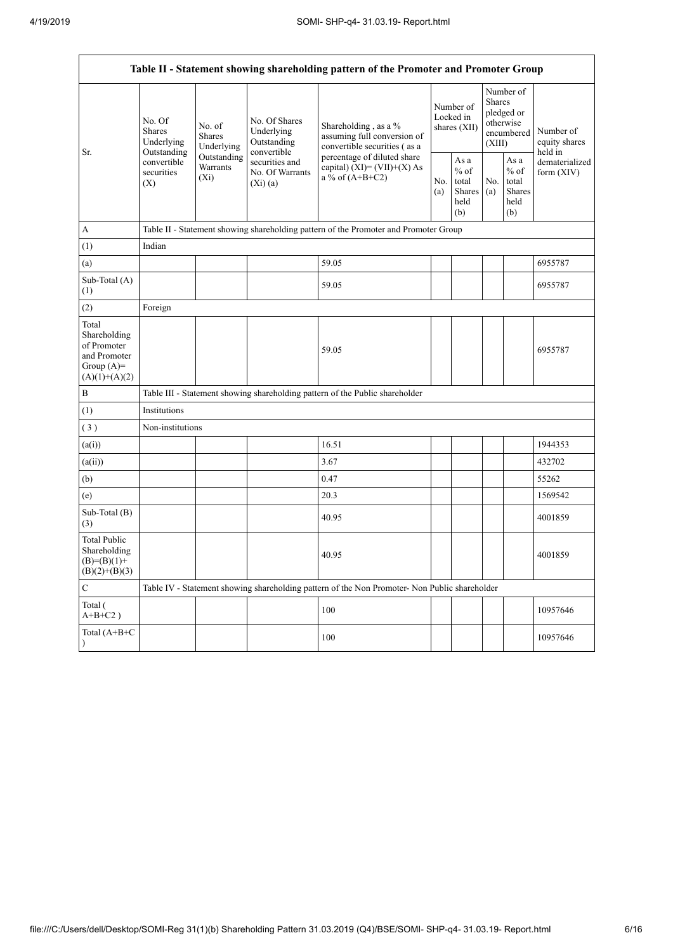| Table II - Statement showing shareholding pattern of the Promoter and Promoter Group    |                                                                                          |                                                                                              |                                                           |                                                                                               |                                        |                                                  |                                                                               |                                                         |                                                                       |  |
|-----------------------------------------------------------------------------------------|------------------------------------------------------------------------------------------|----------------------------------------------------------------------------------------------|-----------------------------------------------------------|-----------------------------------------------------------------------------------------------|----------------------------------------|--------------------------------------------------|-------------------------------------------------------------------------------|---------------------------------------------------------|-----------------------------------------------------------------------|--|
| Sr.                                                                                     | No. Of<br><b>Shares</b><br>Underlying<br>Outstanding<br>convertible<br>securities<br>(X) | No. of<br><b>Shares</b><br>Underlying                                                        | No. Of Shares<br>Underlying<br>Outstanding<br>convertible | Shareholding, as a %<br>assuming full conversion of<br>convertible securities (as a           | Number of<br>Locked in<br>shares (XII) |                                                  | Number of<br><b>Shares</b><br>pledged or<br>otherwise<br>encumbered<br>(XIII) |                                                         | Number of<br>equity shares<br>held in<br>dematerialized<br>form (XIV) |  |
|                                                                                         |                                                                                          | Outstanding<br>securities and<br>Warrants<br>No. Of Warrants<br>(X <sub>i</sub> )<br>(Xi)(a) |                                                           | percentage of diluted share<br>capital) $(XI) = (VII)+(X) As$<br>a % of $(A+B+C2)$            |                                        | As a<br>$%$ of<br>total<br>Shares<br>held<br>(b) | No.<br>(a)                                                                    | As a<br>$%$ of<br>total<br><b>Shares</b><br>held<br>(b) |                                                                       |  |
| A                                                                                       |                                                                                          |                                                                                              |                                                           | Table II - Statement showing shareholding pattern of the Promoter and Promoter Group          |                                        |                                                  |                                                                               |                                                         |                                                                       |  |
| (1)                                                                                     | Indian                                                                                   |                                                                                              |                                                           |                                                                                               |                                        |                                                  |                                                                               |                                                         |                                                                       |  |
| (a)                                                                                     |                                                                                          |                                                                                              |                                                           | 59.05                                                                                         |                                        |                                                  |                                                                               |                                                         | 6955787                                                               |  |
| Sub-Total (A)<br>(1)                                                                    |                                                                                          |                                                                                              |                                                           | 59.05                                                                                         |                                        |                                                  |                                                                               |                                                         | 6955787                                                               |  |
| (2)                                                                                     | Foreign                                                                                  |                                                                                              |                                                           |                                                                                               |                                        |                                                  |                                                                               |                                                         |                                                                       |  |
| Total<br>Shareholding<br>of Promoter<br>and Promoter<br>Group $(A)=$<br>$(A)(1)+(A)(2)$ |                                                                                          |                                                                                              |                                                           | 59.05                                                                                         |                                        |                                                  |                                                                               |                                                         | 6955787                                                               |  |
| B                                                                                       |                                                                                          |                                                                                              |                                                           | Table III - Statement showing shareholding pattern of the Public shareholder                  |                                        |                                                  |                                                                               |                                                         |                                                                       |  |
| (1)                                                                                     | Institutions                                                                             |                                                                                              |                                                           |                                                                                               |                                        |                                                  |                                                                               |                                                         |                                                                       |  |
| (3)                                                                                     | Non-institutions                                                                         |                                                                                              |                                                           |                                                                                               |                                        |                                                  |                                                                               |                                                         |                                                                       |  |
| (a(i))                                                                                  |                                                                                          |                                                                                              |                                                           | 16.51                                                                                         |                                        |                                                  |                                                                               |                                                         | 1944353                                                               |  |
| (a(ii))                                                                                 |                                                                                          |                                                                                              |                                                           | 3.67                                                                                          |                                        |                                                  |                                                                               |                                                         | 432702                                                                |  |
| (b)                                                                                     |                                                                                          |                                                                                              |                                                           | 0.47                                                                                          |                                        |                                                  |                                                                               |                                                         | 55262                                                                 |  |
| (e)                                                                                     |                                                                                          |                                                                                              |                                                           | 20.3                                                                                          |                                        |                                                  |                                                                               |                                                         | 1569542                                                               |  |
| Sub-Total (B)<br>(3)                                                                    |                                                                                          |                                                                                              |                                                           | 40.95                                                                                         |                                        |                                                  |                                                                               |                                                         | 4001859                                                               |  |
| Total Public<br>Shareholding<br>$(B)=(B)(1)+$<br>$(B)(2)+(B)(3)$                        |                                                                                          |                                                                                              |                                                           | 40.95                                                                                         |                                        |                                                  |                                                                               |                                                         | 4001859                                                               |  |
| $\mathbf C$                                                                             |                                                                                          |                                                                                              |                                                           | Table IV - Statement showing shareholding pattern of the Non Promoter- Non Public shareholder |                                        |                                                  |                                                                               |                                                         |                                                                       |  |
| Total (<br>$A+B+C2$ )                                                                   |                                                                                          |                                                                                              |                                                           | 100                                                                                           |                                        |                                                  |                                                                               |                                                         | 10957646                                                              |  |
| Total (A+B+C                                                                            |                                                                                          |                                                                                              |                                                           | 100                                                                                           |                                        |                                                  |                                                                               |                                                         | 10957646                                                              |  |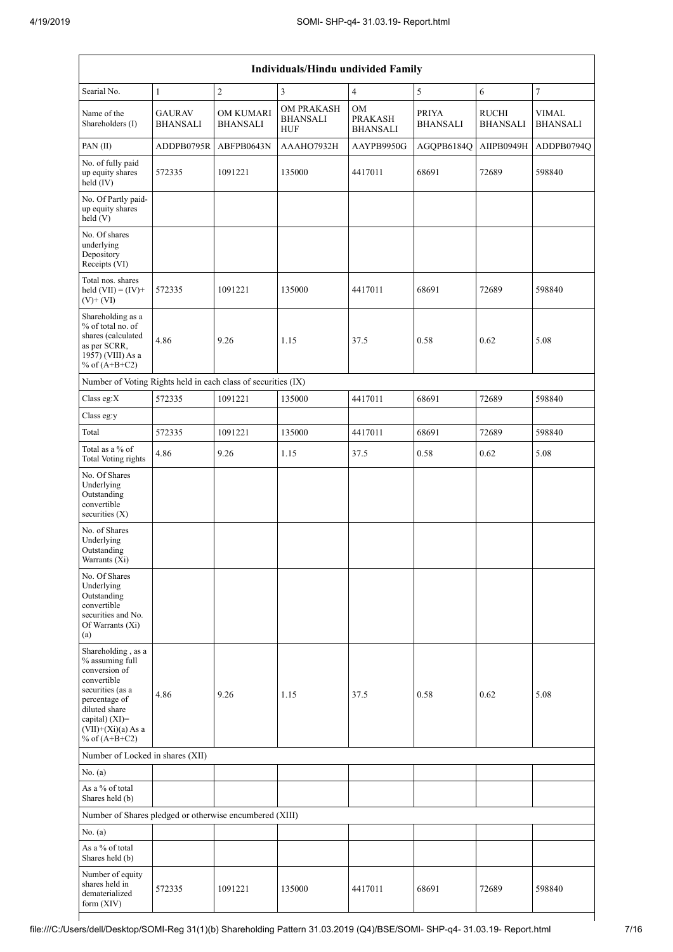| Individuals/Hindu undivided Family                                                                                                                                                       |                                  |                                     |                                                    |                                         |                                 |                                 |                                 |  |  |  |
|------------------------------------------------------------------------------------------------------------------------------------------------------------------------------------------|----------------------------------|-------------------------------------|----------------------------------------------------|-----------------------------------------|---------------------------------|---------------------------------|---------------------------------|--|--|--|
| Searial No.                                                                                                                                                                              | $\mathbf{1}$                     | $\sqrt{2}$                          | 3                                                  | $\overline{4}$                          | 5                               | 6                               | $\boldsymbol{7}$                |  |  |  |
| Name of the<br>Shareholders (I)                                                                                                                                                          | <b>GAURAV</b><br><b>BHANSALI</b> | <b>OM KUMARI</b><br><b>BHANSALI</b> | <b>OM PRAKASH</b><br><b>BHANSALI</b><br><b>HUF</b> | OM<br><b>PRAKASH</b><br><b>BHANSALI</b> | <b>PRIYA</b><br><b>BHANSALI</b> | <b>RUCHI</b><br><b>BHANSALI</b> | <b>VIMAL</b><br><b>BHANSALI</b> |  |  |  |
| PAN (II)                                                                                                                                                                                 | ADDPB0795R                       | ABFPB0643N                          | AAAHO7932H                                         | AAYPB9950G                              | AGQPB6184Q                      | AIIPB0949H                      | ADDPB0794Q                      |  |  |  |
| No. of fully paid<br>up equity shares<br>held (IV)                                                                                                                                       | 572335                           | 1091221                             | 135000                                             | 4417011                                 | 68691                           | 72689                           | 598840                          |  |  |  |
| No. Of Partly paid-<br>up equity shares<br>held(V)                                                                                                                                       |                                  |                                     |                                                    |                                         |                                 |                                 |                                 |  |  |  |
| No. Of shares<br>underlying<br>Depository<br>Receipts (VI)                                                                                                                               |                                  |                                     |                                                    |                                         |                                 |                                 |                                 |  |  |  |
| Total nos, shares<br>held $(VII) = (IV) +$<br>$(V)$ + $(VI)$                                                                                                                             | 572335                           | 1091221                             | 135000                                             | 4417011                                 | 68691                           | 72689                           | 598840                          |  |  |  |
| Shareholding as a<br>% of total no. of<br>shares (calculated<br>as per SCRR,<br>1957) (VIII) As a<br>% of $(A+B+C2)$                                                                     | 4.86                             | 9.26                                | 1.15                                               | 37.5                                    | 0.58                            | 0.62                            | 5.08                            |  |  |  |
| Number of Voting Rights held in each class of securities (IX)                                                                                                                            |                                  |                                     |                                                    |                                         |                                 |                                 |                                 |  |  |  |
| Class eg:X                                                                                                                                                                               | 572335                           | 1091221                             | 135000                                             | 4417011                                 | 68691                           | 72689                           | 598840                          |  |  |  |
| Class eg:y                                                                                                                                                                               |                                  |                                     |                                                    |                                         |                                 |                                 |                                 |  |  |  |
| Total                                                                                                                                                                                    | 572335                           | 1091221                             | 135000                                             | 4417011                                 | 68691                           | 72689                           | 598840                          |  |  |  |
| Total as a % of<br><b>Total Voting rights</b>                                                                                                                                            | 4.86                             | 9.26                                | 1.15                                               | 37.5                                    | 0.58                            | 0.62                            | 5.08                            |  |  |  |
| No. Of Shares<br>Underlying<br>Outstanding<br>convertible<br>securities (X)                                                                                                              |                                  |                                     |                                                    |                                         |                                 |                                 |                                 |  |  |  |
| No. of Shares<br>Underlying<br>Outstanding<br>Warrants (Xi)                                                                                                                              |                                  |                                     |                                                    |                                         |                                 |                                 |                                 |  |  |  |
| No. Of Shares<br>Underlying<br>Outstanding<br>convertible<br>securities and No.<br>Of Warrants (Xi)<br>(a)                                                                               |                                  |                                     |                                                    |                                         |                                 |                                 |                                 |  |  |  |
| Shareholding, as a<br>% assuming full<br>conversion of<br>convertible<br>securities (as a<br>percentage of<br>diluted share<br>capital) (XI)=<br>$(VII)+(Xi)(a)$ As a<br>% of $(A+B+C2)$ | 4.86                             | 9.26                                | 1.15                                               | 37.5                                    | 0.58                            | 0.62                            | 5.08                            |  |  |  |
| Number of Locked in shares (XII)                                                                                                                                                         |                                  |                                     |                                                    |                                         |                                 |                                 |                                 |  |  |  |
| No. $(a)$                                                                                                                                                                                |                                  |                                     |                                                    |                                         |                                 |                                 |                                 |  |  |  |
| As a % of total<br>Shares held (b)                                                                                                                                                       |                                  |                                     |                                                    |                                         |                                 |                                 |                                 |  |  |  |
| Number of Shares pledged or otherwise encumbered (XIII)                                                                                                                                  |                                  |                                     |                                                    |                                         |                                 |                                 |                                 |  |  |  |
| No. (a)                                                                                                                                                                                  |                                  |                                     |                                                    |                                         |                                 |                                 |                                 |  |  |  |
| As a % of total<br>Shares held (b)                                                                                                                                                       |                                  |                                     |                                                    |                                         |                                 |                                 |                                 |  |  |  |
| Number of equity<br>shares held in<br>dematerialized<br>form (XIV)                                                                                                                       | 572335                           | 1091221                             | 135000                                             | 4417011                                 | 68691                           | 72689                           | 598840                          |  |  |  |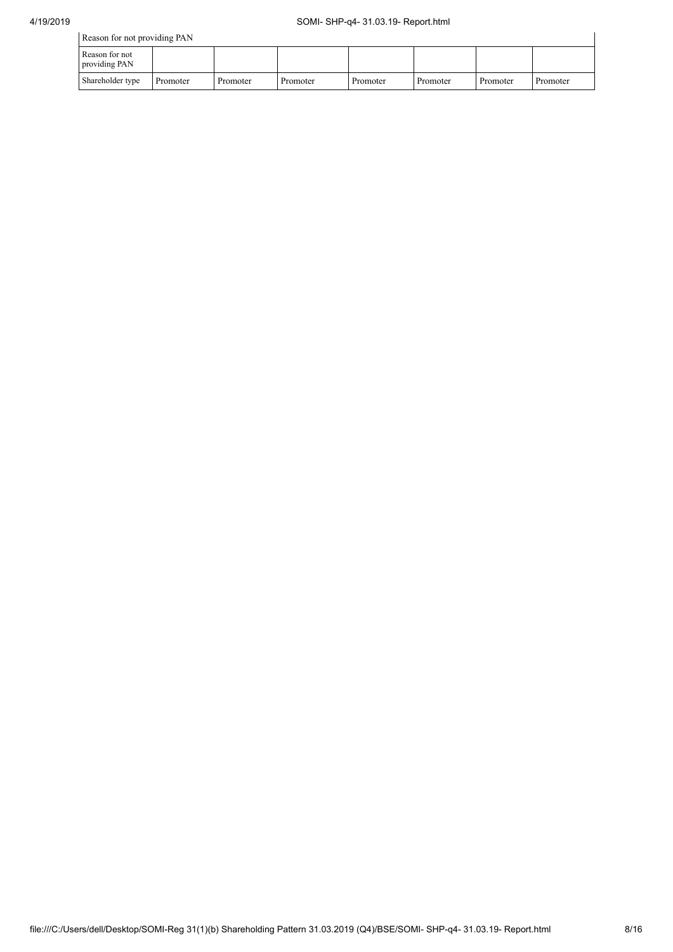| Reason for not providing PAN    |          |          |          |          |          |          |          |  |  |
|---------------------------------|----------|----------|----------|----------|----------|----------|----------|--|--|
| Reason for not<br>providing PAN |          |          |          |          |          |          |          |  |  |
| Shareholder type                | Promoter | Promoter | Promoter | Promoter | Promoter | Promoter | Promoter |  |  |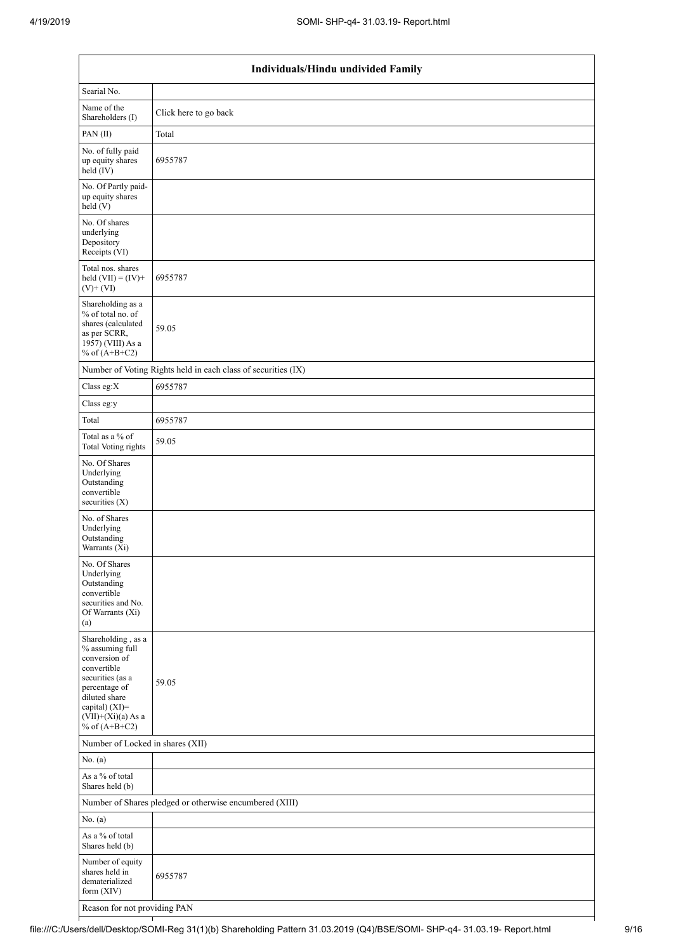| Individuals/Hindu undivided Family                                                                                                                                                       |                                                               |  |  |  |  |  |  |
|------------------------------------------------------------------------------------------------------------------------------------------------------------------------------------------|---------------------------------------------------------------|--|--|--|--|--|--|
| Searial No.                                                                                                                                                                              |                                                               |  |  |  |  |  |  |
| Name of the<br>Shareholders (I)                                                                                                                                                          | Click here to go back                                         |  |  |  |  |  |  |
| PAN(II)                                                                                                                                                                                  | Total                                                         |  |  |  |  |  |  |
| No. of fully paid<br>up equity shares<br>held (IV)                                                                                                                                       | 6955787                                                       |  |  |  |  |  |  |
| No. Of Partly paid-<br>up equity shares<br>held (V)                                                                                                                                      |                                                               |  |  |  |  |  |  |
| No. Of shares<br>underlying<br>Depository<br>Receipts (VI)                                                                                                                               |                                                               |  |  |  |  |  |  |
| Total nos. shares<br>held $(VII) = (IV) +$<br>$(V)$ + $(VI)$                                                                                                                             | 6955787                                                       |  |  |  |  |  |  |
| Shareholding as a<br>% of total no. of<br>shares (calculated<br>as per SCRR,<br>$19\overline{57}$ ) (VIII) As a<br>% of $(A+B+C2)$                                                       | 59.05                                                         |  |  |  |  |  |  |
|                                                                                                                                                                                          | Number of Voting Rights held in each class of securities (IX) |  |  |  |  |  |  |
| Class eg: $X$                                                                                                                                                                            | 6955787                                                       |  |  |  |  |  |  |
| Class eg:y                                                                                                                                                                               |                                                               |  |  |  |  |  |  |
| Total                                                                                                                                                                                    | 6955787                                                       |  |  |  |  |  |  |
| Total as a % of<br><b>Total Voting rights</b>                                                                                                                                            | 59.05                                                         |  |  |  |  |  |  |
| No. Of Shares<br>Underlying<br>Outstanding<br>convertible<br>securities (X)                                                                                                              |                                                               |  |  |  |  |  |  |
| No. of Shares<br>Underlying<br>Outstanding<br>Warrants (Xi)                                                                                                                              |                                                               |  |  |  |  |  |  |
| No. Of Shares<br>Underlying<br>Outstanding<br>convertible<br>securities and No.<br>Of Warrants (Xi)<br>(a)                                                                               |                                                               |  |  |  |  |  |  |
| Shareholding, as a<br>% assuming full<br>conversion of<br>convertible<br>securities (as a<br>percentage of<br>diluted share<br>capital) (XI)=<br>$(VII)+(Xi)(a)$ As a<br>% of $(A+B+C2)$ | 59.05                                                         |  |  |  |  |  |  |
| Number of Locked in shares (XII)                                                                                                                                                         |                                                               |  |  |  |  |  |  |
| No. $(a)$                                                                                                                                                                                |                                                               |  |  |  |  |  |  |
| As a % of total<br>Shares held (b)                                                                                                                                                       |                                                               |  |  |  |  |  |  |
|                                                                                                                                                                                          | Number of Shares pledged or otherwise encumbered (XIII)       |  |  |  |  |  |  |
| No. (a)                                                                                                                                                                                  |                                                               |  |  |  |  |  |  |
| As a % of total<br>Shares held (b)                                                                                                                                                       |                                                               |  |  |  |  |  |  |
| Number of equity<br>shares held in<br>dematerialized<br>form (XIV)                                                                                                                       | 6955787                                                       |  |  |  |  |  |  |
| Reason for not providing PAN                                                                                                                                                             |                                                               |  |  |  |  |  |  |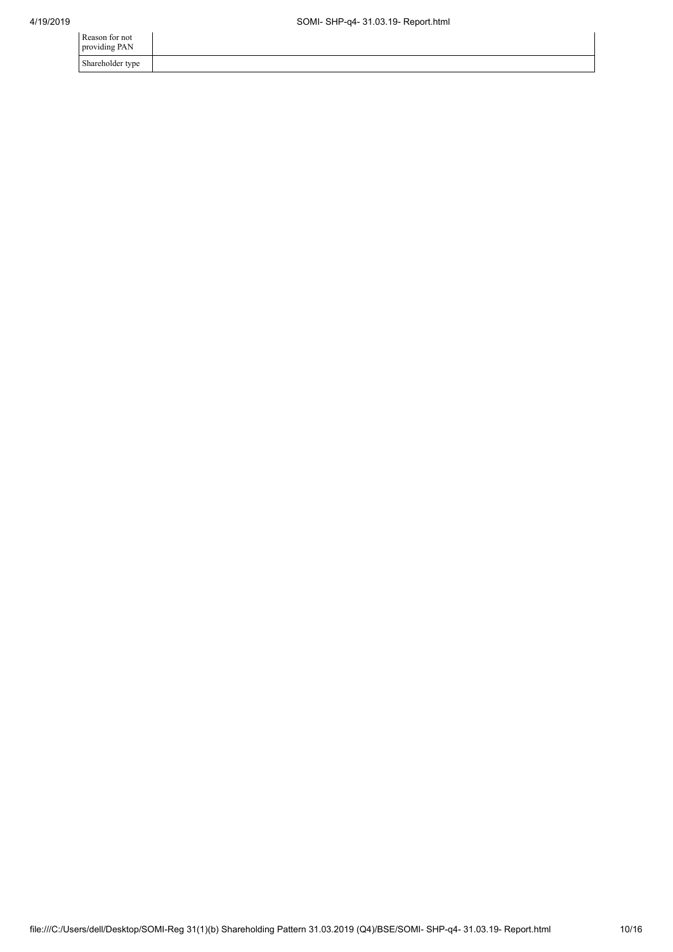| Reason for not<br>providing PAN |  |
|---------------------------------|--|
| Shareholder type                |  |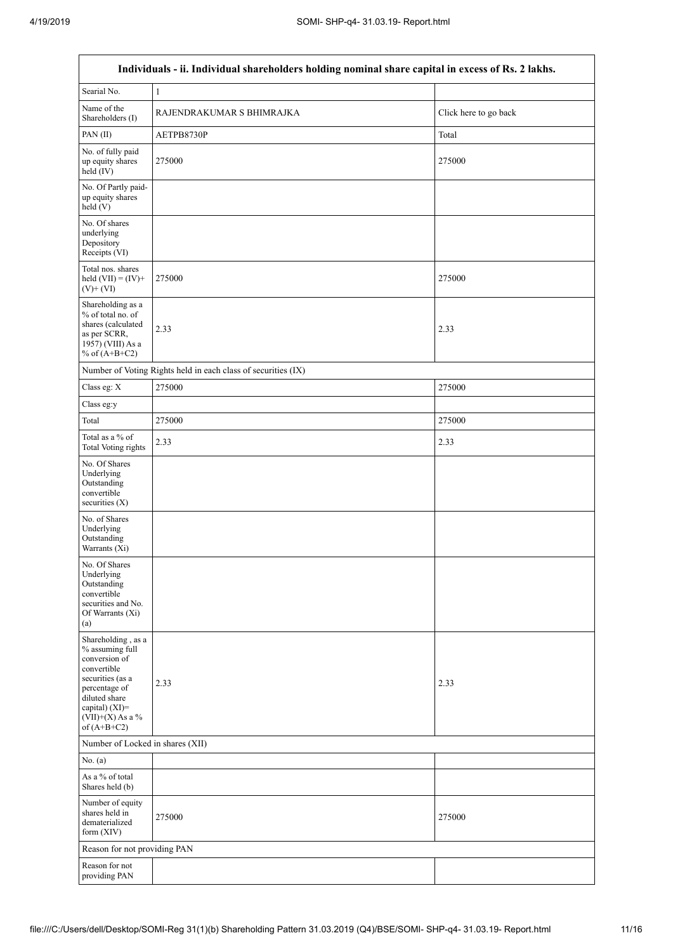$\mathbf{r}$ 

| Individuals - ii. Individual shareholders holding nominal share capital in excess of Rs. 2 lakhs.                                                                                       |                                                               |                       |  |  |  |  |  |  |  |
|-----------------------------------------------------------------------------------------------------------------------------------------------------------------------------------------|---------------------------------------------------------------|-----------------------|--|--|--|--|--|--|--|
| Searial No.                                                                                                                                                                             | 1                                                             |                       |  |  |  |  |  |  |  |
| Name of the<br>Shareholders (I)                                                                                                                                                         | RAJENDRAKUMAR S BHIMRAJKA                                     | Click here to go back |  |  |  |  |  |  |  |
| PAN(II)                                                                                                                                                                                 | AETPB8730P                                                    | Total                 |  |  |  |  |  |  |  |
| No. of fully paid<br>up equity shares<br>held (IV)                                                                                                                                      | 275000                                                        | 275000                |  |  |  |  |  |  |  |
| No. Of Partly paid-<br>up equity shares<br>held (V)                                                                                                                                     |                                                               |                       |  |  |  |  |  |  |  |
| No. Of shares<br>underlying<br>Depository<br>Receipts (VI)                                                                                                                              |                                                               |                       |  |  |  |  |  |  |  |
| Total nos. shares<br>held $(VII) = (IV) +$<br>$(V) + (VI)$                                                                                                                              | 275000                                                        | 275000                |  |  |  |  |  |  |  |
| Shareholding as a<br>% of total no. of<br>shares (calculated<br>as per SCRR,<br>1957) (VIII) As a<br>% of $(A+B+C2)$                                                                    | 2.33                                                          | 2.33                  |  |  |  |  |  |  |  |
|                                                                                                                                                                                         | Number of Voting Rights held in each class of securities (IX) |                       |  |  |  |  |  |  |  |
| Class eg: X                                                                                                                                                                             | 275000                                                        | 275000                |  |  |  |  |  |  |  |
| Class eg:y                                                                                                                                                                              |                                                               |                       |  |  |  |  |  |  |  |
| Total                                                                                                                                                                                   | 275000                                                        | 275000                |  |  |  |  |  |  |  |
| Total as a % of<br><b>Total Voting rights</b>                                                                                                                                           | 2.33                                                          | 2.33                  |  |  |  |  |  |  |  |
| No. Of Shares<br>Underlying<br>Outstanding<br>convertible<br>securities $(X)$                                                                                                           |                                                               |                       |  |  |  |  |  |  |  |
| No. of Shares<br>Underlying<br>Outstanding<br>Warrants (Xi)                                                                                                                             |                                                               |                       |  |  |  |  |  |  |  |
| No. Of Shares<br>Underlying<br>Outstanding<br>convertible<br>securities and No.<br>Of Warrants (Xi)<br>(a)                                                                              |                                                               |                       |  |  |  |  |  |  |  |
| Shareholding, as a<br>% assuming full<br>conversion of<br>convertible<br>securities (as a<br>percentage of<br>diluted share<br>capital) $(XI)$ =<br>$(VII)+(X)$ As a %<br>of $(A+B+C2)$ | 2.33                                                          | 2.33                  |  |  |  |  |  |  |  |
| Number of Locked in shares (XII)                                                                                                                                                        |                                                               |                       |  |  |  |  |  |  |  |
| No. (a)                                                                                                                                                                                 |                                                               |                       |  |  |  |  |  |  |  |
| As a % of total<br>Shares held (b)                                                                                                                                                      |                                                               |                       |  |  |  |  |  |  |  |
| Number of equity<br>shares held in<br>dematerialized<br>form (XIV)                                                                                                                      | 275000                                                        | 275000                |  |  |  |  |  |  |  |
| Reason for not providing PAN                                                                                                                                                            |                                                               |                       |  |  |  |  |  |  |  |
| Reason for not<br>providing PAN                                                                                                                                                         |                                                               |                       |  |  |  |  |  |  |  |

٦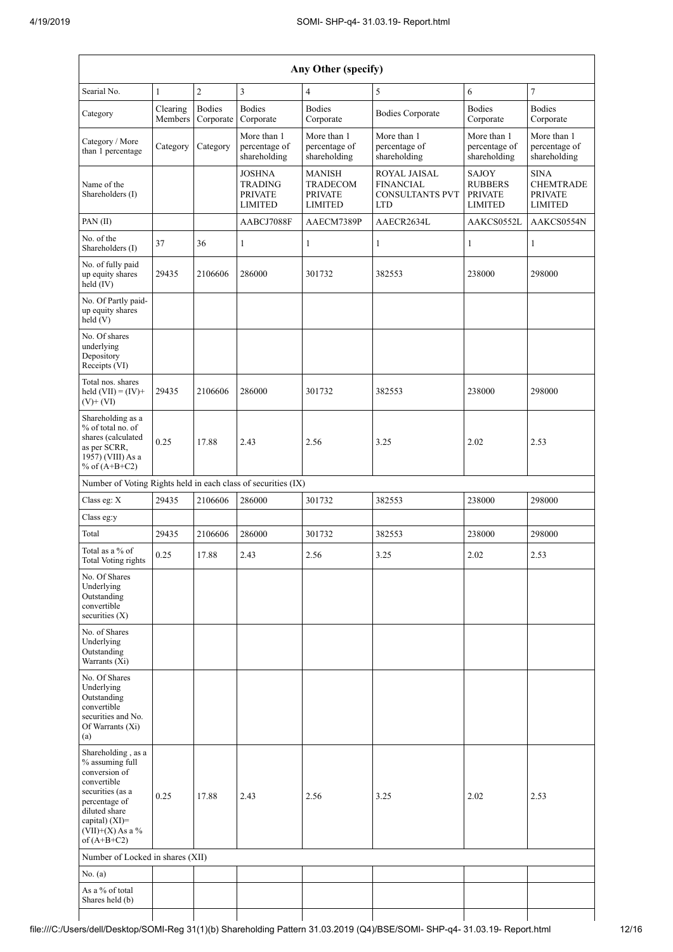| Any Other (specify)                                                                                                                                                                  |                     |                            |                                                                     |                                                                      |                                                                                 |                                                             |                                                                     |  |  |  |
|--------------------------------------------------------------------------------------------------------------------------------------------------------------------------------------|---------------------|----------------------------|---------------------------------------------------------------------|----------------------------------------------------------------------|---------------------------------------------------------------------------------|-------------------------------------------------------------|---------------------------------------------------------------------|--|--|--|
| Searial No.                                                                                                                                                                          | $\mathbf{1}$        | $\overline{c}$             | $\overline{3}$                                                      | $\overline{4}$                                                       | 5                                                                               | 6                                                           | $\overline{7}$                                                      |  |  |  |
| Category                                                                                                                                                                             | Clearing<br>Members | <b>Bodies</b><br>Corporate | <b>Bodies</b><br>Corporate                                          | <b>Bodies</b><br>Corporate                                           | <b>Bodies Corporate</b>                                                         | <b>Bodies</b><br>Corporate                                  | <b>Bodies</b><br>Corporate                                          |  |  |  |
| Category / More<br>than 1 percentage                                                                                                                                                 | Category            | Category                   | More than 1<br>percentage of<br>shareholding                        | More than 1<br>percentage of<br>shareholding                         | More than 1<br>percentage of<br>shareholding                                    | More than 1<br>percentage of<br>shareholding                | More than 1<br>percentage of<br>shareholding                        |  |  |  |
| Name of the<br>Shareholders (I)                                                                                                                                                      |                     |                            | <b>JOSHNA</b><br><b>TRADING</b><br><b>PRIVATE</b><br><b>LIMITED</b> | <b>MANISH</b><br><b>TRADECOM</b><br><b>PRIVATE</b><br><b>LIMITED</b> | <b>ROYAL JAISAL</b><br><b>FINANCIAL</b><br><b>CONSULTANTS PVT</b><br><b>LTD</b> | SAJOY<br><b>RUBBERS</b><br><b>PRIVATE</b><br><b>LIMITED</b> | <b>SINA</b><br><b>CHEMTRADE</b><br><b>PRIVATE</b><br><b>LIMITED</b> |  |  |  |
| PAN(II)                                                                                                                                                                              |                     |                            | AABCJ7088F                                                          | AAECM7389P                                                           | AAECR2634L                                                                      | AAKCS0552L                                                  | AAKCS0554N                                                          |  |  |  |
| No. of the<br>Shareholders (I)                                                                                                                                                       | 37                  | 36                         | 1                                                                   | 1                                                                    | 1                                                                               | 1                                                           | 1                                                                   |  |  |  |
| No. of fully paid<br>up equity shares<br>held (IV)                                                                                                                                   | 29435               | 2106606                    | 286000                                                              | 301732                                                               | 382553                                                                          | 238000                                                      | 298000                                                              |  |  |  |
| No. Of Partly paid-<br>up equity shares<br>held(V)                                                                                                                                   |                     |                            |                                                                     |                                                                      |                                                                                 |                                                             |                                                                     |  |  |  |
| No. Of shares<br>underlying<br>Depository<br>Receipts (VI)                                                                                                                           |                     |                            |                                                                     |                                                                      |                                                                                 |                                                             |                                                                     |  |  |  |
| Total nos. shares<br>held $(VII) = (IV) +$<br>$(V)$ + $(VI)$                                                                                                                         | 29435               | 2106606                    | 286000                                                              | 301732                                                               | 382553                                                                          | 238000                                                      | 298000                                                              |  |  |  |
| Shareholding as a<br>% of total no. of<br>shares (calculated<br>as per SCRR,<br>1957) (VIII) As a<br>% of $(A+B+C2)$                                                                 | 0.25                | 17.88                      | 2.43                                                                | 2.56                                                                 | 3.25                                                                            | 2.02                                                        | 2.53                                                                |  |  |  |
| Number of Voting Rights held in each class of securities (IX)                                                                                                                        |                     |                            |                                                                     |                                                                      |                                                                                 |                                                             |                                                                     |  |  |  |
| Class eg: X                                                                                                                                                                          | 29435               | 2106606                    | 286000                                                              | 301732                                                               | 382553                                                                          | 238000                                                      | 298000                                                              |  |  |  |
| Class eg:y                                                                                                                                                                           |                     |                            |                                                                     |                                                                      |                                                                                 |                                                             |                                                                     |  |  |  |
| Total                                                                                                                                                                                | 29435               | 2106606                    | 286000                                                              | 301732                                                               | 382553                                                                          | 238000                                                      | 298000                                                              |  |  |  |
| Total as a % of<br><b>Total Voting rights</b>                                                                                                                                        | 0.25                | 17.88                      | 2.43                                                                | 2.56                                                                 | 3.25                                                                            | 2.02                                                        | 2.53                                                                |  |  |  |
| No. Of Shares<br>Underlying<br>Outstanding<br>convertible<br>securities (X)                                                                                                          |                     |                            |                                                                     |                                                                      |                                                                                 |                                                             |                                                                     |  |  |  |
| No. of Shares<br>Underlying<br>Outstanding<br>Warrants (Xi)                                                                                                                          |                     |                            |                                                                     |                                                                      |                                                                                 |                                                             |                                                                     |  |  |  |
| No. Of Shares<br>Underlying<br>Outstanding<br>convertible<br>securities and No.<br>Of Warrants (Xi)<br>(a)                                                                           |                     |                            |                                                                     |                                                                      |                                                                                 |                                                             |                                                                     |  |  |  |
| Shareholding, as a<br>% assuming full<br>conversion of<br>convertible<br>securities (as a<br>percentage of<br>diluted share<br>capital) (XI)=<br>$(VII)+(X)$ As a %<br>of $(A+B+C2)$ | 0.25                | 17.88                      | 2.43                                                                | 2.56                                                                 | 3.25                                                                            | 2.02                                                        | 2.53                                                                |  |  |  |
| Number of Locked in shares (XII)                                                                                                                                                     |                     |                            |                                                                     |                                                                      |                                                                                 |                                                             |                                                                     |  |  |  |
| No. (a)                                                                                                                                                                              |                     |                            |                                                                     |                                                                      |                                                                                 |                                                             |                                                                     |  |  |  |
| As a % of total<br>Shares held (b)                                                                                                                                                   |                     |                            |                                                                     |                                                                      |                                                                                 |                                                             |                                                                     |  |  |  |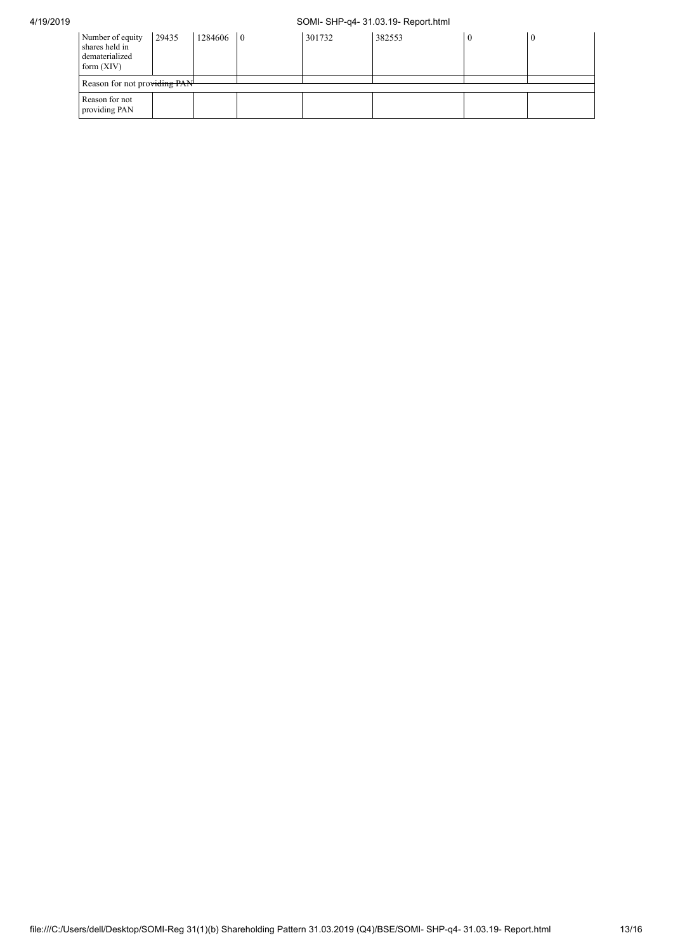## 4/19/2019 SOMI- SHP-q4- 31.03.19- Report.html

| Number of equity<br>shares held in<br>dematerialized<br>form $(XIV)$ | 29435 | 1284606 | $\overline{0}$ | 301732 | 382553 |  |  |
|----------------------------------------------------------------------|-------|---------|----------------|--------|--------|--|--|
| Reason for not providing PAN-                                        |       |         |                |        |        |  |  |
| Reason for not<br>providing PAN                                      |       |         |                |        |        |  |  |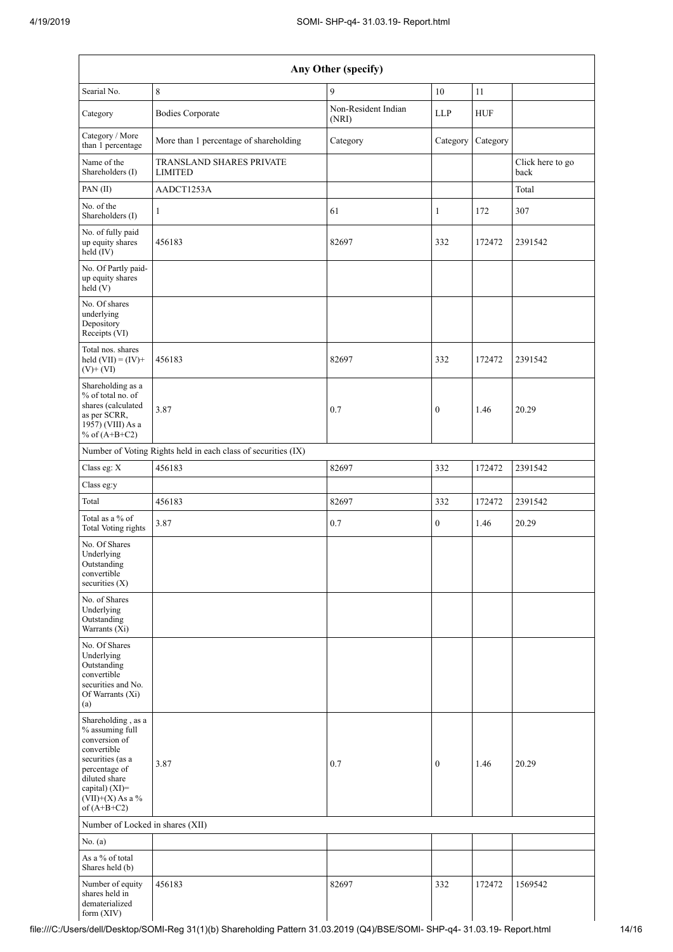| Any Other (specify)                                                                                                                                                                     |                                                               |                              |                  |            |                          |  |  |
|-----------------------------------------------------------------------------------------------------------------------------------------------------------------------------------------|---------------------------------------------------------------|------------------------------|------------------|------------|--------------------------|--|--|
| Searial No.                                                                                                                                                                             | $\,8\,$                                                       | 9                            | $10\,$           | 11         |                          |  |  |
| Category                                                                                                                                                                                | <b>Bodies Corporate</b>                                       | Non-Resident Indian<br>(NRI) | <b>LLP</b>       | <b>HUF</b> |                          |  |  |
| Category / More<br>than 1 percentage                                                                                                                                                    | More than 1 percentage of shareholding                        | Category                     | Category         | Category   |                          |  |  |
| Name of the<br>Shareholders (I)                                                                                                                                                         | TRANSLAND SHARES PRIVATE<br><b>LIMITED</b>                    |                              |                  |            | Click here to go<br>back |  |  |
| PAN(II)                                                                                                                                                                                 | AADCT1253A                                                    |                              |                  |            | Total                    |  |  |
| No. of the<br>Shareholders (I)                                                                                                                                                          | $\mathbf{1}$                                                  | 61                           | $\mathbf{1}$     | 172        | 307                      |  |  |
| No. of fully paid<br>up equity shares<br>held (IV)                                                                                                                                      | 456183                                                        | 82697                        | 332              | 172472     | 2391542                  |  |  |
| No. Of Partly paid-<br>up equity shares<br>held (V)                                                                                                                                     |                                                               |                              |                  |            |                          |  |  |
| No. Of shares<br>underlying<br>Depository<br>Receipts (VI)                                                                                                                              |                                                               |                              |                  |            |                          |  |  |
| Total nos. shares<br>held $(VII) = (IV) +$<br>$(V)$ + $(VI)$                                                                                                                            | 456183                                                        | 82697                        | 332              | 172472     | 2391542                  |  |  |
| Shareholding as a<br>% of total no. of<br>shares (calculated<br>as per SCRR,<br>1957) (VIII) As a<br>% of $(A+B+C2)$                                                                    | 3.87                                                          | 0.7                          | $\overline{0}$   | 1.46       | 20.29                    |  |  |
|                                                                                                                                                                                         | Number of Voting Rights held in each class of securities (IX) |                              |                  |            |                          |  |  |
| Class eg: X                                                                                                                                                                             | 456183                                                        | 82697                        | 332              | 172472     | 2391542                  |  |  |
| Class eg:y                                                                                                                                                                              |                                                               |                              |                  |            |                          |  |  |
| Total                                                                                                                                                                                   | 456183                                                        | 82697                        | 332              | 172472     | 2391542                  |  |  |
| Total as a % of<br><b>Total Voting rights</b>                                                                                                                                           | 3.87                                                          | 0.7                          | $\boldsymbol{0}$ | 1.46       | 20.29                    |  |  |
| No. Of Shares<br>Underlying<br>Outstanding<br>convertible<br>securities $(X)$                                                                                                           |                                                               |                              |                  |            |                          |  |  |
| No. of Shares<br>Underlying<br>Outstanding<br>Warrants (Xi)                                                                                                                             |                                                               |                              |                  |            |                          |  |  |
| No. Of Shares<br>Underlying<br>Outstanding<br>convertible<br>securities and No.<br>Of Warrants (Xi)<br>(a)                                                                              |                                                               |                              |                  |            |                          |  |  |
| Shareholding, as a<br>% assuming full<br>conversion of<br>convertible<br>securities (as a<br>percentage of<br>diluted share<br>capital) $(XI)$ =<br>$(VII)+(X)$ As a %<br>of $(A+B+C2)$ | 3.87                                                          | 0.7                          | $\overline{0}$   | 1.46       | 20.29                    |  |  |
| Number of Locked in shares (XII)                                                                                                                                                        |                                                               |                              |                  |            |                          |  |  |
| No. (a)                                                                                                                                                                                 |                                                               |                              |                  |            |                          |  |  |
| As a % of total<br>Shares held (b)                                                                                                                                                      |                                                               |                              |                  |            |                          |  |  |
| Number of equity<br>shares held in<br>dematerialized<br>form $(XIV)$                                                                                                                    | 456183                                                        | 82697                        | 332              | 172472     | 1569542                  |  |  |